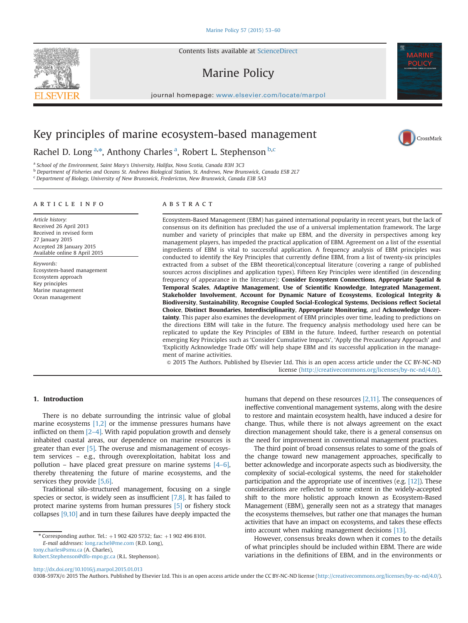Contents lists available at [ScienceDirect](www.sciencedirect.com/science/journal/0308597X)

# Marine Policy

journal homepage: <www.elsevier.com/locate/marpol>

# Key principles of marine ecosystem-based management

Rachel D. Long<sup>a,\*</sup>, Anthony Charles<sup>a</sup>, Robert L. Stephenson b,c

<sup>a</sup> School of the Environment, Saint Mary's University, Halifax, Nova Scotia, Canada B3H 3C3

<sup>b</sup> Department of Fisheries and Oceans St. Andrews Biological Station, St. Andrews, New Brunswick, Canada E5B 2L7

<sup>c</sup> Department of Biology, University of New Brunswick, Fredericton, New Brunswick, Canada E3B 5A3

## article info

Article history: Received 26 April 2013 Received in revised form 27 January 2015 Accepted 28 January 2015 Available online 8 April 2015

Keywords: Ecosystem-based management Ecosystem approach Key principles Marine management Ocean management

## ABSTRACT

Ecosystem-Based Management (EBM) has gained international popularity in recent years, but the lack of consensus on its definition has precluded the use of a universal implementation framework. The large number and variety of principles that make up EBM, and the diversity in perspectives among key management players, has impeded the practical application of EBM. Agreement on a list of the essential ingredients of EBM is vital to successful application. A frequency analysis of EBM principles was conducted to identify the Key Principles that currently define EBM, from a list of twenty-six principles extracted from a subset of the EBM theoretical/conceptual literature (covering a range of published sources across disciplines and application types). Fifteen Key Principles were identified (in descending frequency of appearance in the literature): Consider Ecosystem Connections, Appropriate Spatial & Temporal Scales, Adaptive Management, Use of Scientific Knowledge, Integrated Management, Stakeholder Involvement, Account for Dynamic Nature of Ecosystems, Ecological Integrity & Biodiversity, Sustainability, Recognise Coupled Social-Ecological Systems, Decisions reflect Societal Choice, Distinct Boundaries, Interdisciplinarity, Appropriate Monitoring, and Acknowledge Uncertainty. This paper also examines the development of EBM principles over time, leading to predictions on the directions EBM will take in the future. The frequency analysis methodology used here can be replicated to update the Key Principles of EBM in the future. Indeed, further research on potential emerging Key Principles such as 'Consider Cumulative Impacts', 'Apply the Precautionary Approach' and 'Explicitly Acknowledge Trade Offs' will help shape EBM and its successful application in the management of marine activities.

& 2015 The Authors. Published by Elsevier Ltd. This is an open access article under the CC BY-NC-ND license (http://creativecommons.org/licenses/by-nc-nd/4.0/).

## 1. Introduction

There is no debate surrounding the intrinsic value of global marine ecosystems [\[1,2\]](#page-7-0) or the immense pressures humans have inflicted on them [\[2](#page-7-0)–4]. With rapid population growth and densely inhabited coastal areas, our dependence on marine resources is greater than ever [\[5\].](#page-7-0) The overuse and mismanagement of ecosystem services – e.g., through overexploitation, habitat loss and pollution – have placed great pressure on marine systems [4–[6\],](#page-7-0) thereby threatening the future of marine ecosystems, and the services they provide [\[5,6\].](#page-7-0)

Traditional silo-structured management, focusing on a single species or sector, is widely seen as insufficient [\[7,8\].](#page-7-0) It has failed to protect marine systems from human pressures [\[5\]](#page-7-0) or fishery stock collapses [\[9,10\]](#page-7-0) and in turn these failures have deeply impacted the

Corresponding author. Tel.:  $+1$  902 420 5732; fax:  $+1$  902 496 8101. E-mail addresses: [long.rachel@me.com](mailto:long.rachel@me.com) (R.D. Long),

[tony.charles@smu.ca](mailto:tony.charles@smu.ca) (A. Charles), [Robert.Stephenson@dfo-mpo.gc.ca](mailto:Robert.Stephenson@dfo-mpo.gc.ca) (R.L. Stephenson). humans that depend on these resources [\[2,11\]](#page-7-0). The consequences of ineffective conventional management systems, along with the desire to restore and maintain ecosystem health, have induced a desire for change. Thus, while there is not always agreement on the exact direction management should take, there is a general consensus on the need for improvement in conventional management practices.

The third point of broad consensus relates to some of the goals of the change toward new management approaches, specifically to better acknowledge and incorporate aspects such as biodiversity, the complexity of social-ecological systems, the need for stakeholder participation and the appropriate use of incentives (e.g. [\[12\]\)](#page-7-0). These considerations are reflected to some extent in the widely-accepted shift to the more holistic approach known as Ecosystem-Based Management (EBM), generally seen not as a strategy that manages the ecosystems themselves, but rather one that manages the human activities that have an impact on ecosystems, and takes these effects into account when making management decisions [\[13\].](#page-7-0)

However, consensus breaks down when it comes to the details of what principles should be included within EBM. There are wide variations in the definitions of EBM, and in the environments or

<http://dx.doi.org/10.1016/j.marpol.2015.01.013>

0308-597X/@2015 The Authors. Published by Elsevier Ltd. This is an open access article under the CC BY-NC-ND license (http://creativecommons.org/licenses/by-nc-nd/4.0/).



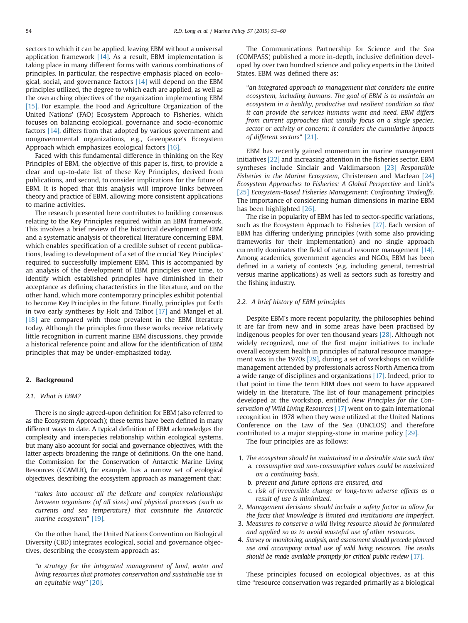sectors to which it can be applied, leaving EBM without a universal application framework [\[14\].](#page-7-0) As a result, EBM implementation is taking place in many different forms with various combinations of principles. In particular, the respective emphasis placed on ecological, social, and governance factors [\[14\]](#page-7-0) will depend on the EBM principles utilized, the degree to which each are applied, as well as the overarching objectives of the organization implementing EBM [\[15\].](#page-7-0) For example, the Food and Agriculture Organization of the United Nations' (FAO) Ecosystem Approach to Fisheries, which focuses on balancing ecological, governance and socio-economic factors [\[14\],](#page-7-0) differs from that adopted by various government and nongovernmental organizations, e.g., Greenpeace's Ecosystem Approach which emphasizes ecological factors [\[16\]](#page-7-0).

Faced with this fundamental difference in thinking on the Key Principles of EBM, the objective of this paper is, first, to provide a clear and up-to-date list of these Key Principles, derived from publications, and second, to consider implications for the future of EBM. It is hoped that this analysis will improve links between theory and practice of EBM, allowing more consistent applications to marine activities.

The research presented here contributes to building consensus relating to the Key Principles required within an EBM framework. This involves a brief review of the historical development of EBM and a systematic analysis of theoretical literature concerning EBM, which enables specification of a credible subset of recent publications, leading to development of a set of the crucial 'Key Principles' required to successfully implement EBM. This is accompanied by an analysis of the development of EBM principles over time, to identify which established principles have diminished in their acceptance as defining characteristics in the literature, and on the other hand, which more contemporary principles exhibit potential to become Key Principles in the future. Finally, principles put forth in two early syntheses by Holt and Talbot [\[17\]](#page-7-0) and Mangel et al. [\[18\]](#page-7-0) are compared with those prevalent in the EBM literature today. Although the principles from these works receive relatively little recognition in current marine EBM discussions, they provide a historical reference point and allow for the identification of EBM principles that may be under-emphasized today.

## 2. Background

## 2.1. What is EBM?

There is no single agreed-upon definition for EBM (also referred to as the Ecosystem Approach); these terms have been defined in many different ways to date. A typical definition of EBM acknowledges the complexity and interspecies relationship within ecological systems, but many also account for social and governance objectives, with the latter aspects broadening the range of definitions. On the one hand, the Commission for the Conservation of Antarctic Marine Living Resources (CCAMLR), for example, has a narrow set of ecological objectives, describing the ecosystem approach as management that:

"takes into account all the delicate and complex relationships between organisms (of all sizes) and physical processes (such as currents and sea temperature) that constitute the Antarctic marine ecosystem" [\[19\]](#page-7-0).

On the other hand, the United Nations Convention on Biological Diversity (CBD) integrates ecological, social and governance objectives, describing the ecosystem approach as:

"a strategy for the integrated management of land, water and living resources that promotes conservation and sustainable use in an equitable way" [\[20\].](#page-7-0)

The Communications Partnership for Science and the Sea (COMPASS) published a more in-depth, inclusive definition developed by over two hundred science and policy experts in the United States. EBM was defined there as:

"an integrated approach to management that considers the entire ecosystem, including humans. The goal of EBM is to maintain an ecosystem in a healthy, productive and resilient condition so that it can provide the services humans want and need. EBM differs from current approaches that usually focus on a single species, sector or activity or concern; it considers the cumulative impacts of different sectors" [\[21\].](#page-7-0)

EBM has recently gained momentum in marine management initiatives [\[22\]](#page-7-0) and increasing attention in the fisheries sector. EBM syntheses include Sinclair and Valdimarsoon [\[23\]](#page-7-0) Responsible Fisheries in the Marine Ecosystem, Christensen and Maclean [\[24\]](#page-7-0) Ecosystem Approaches to Fisheries: A Global Perspective and Link's [\[25\]](#page-7-0) Ecosystem-Based Fisheries Management: Confronting Tradeoffs. The importance of considering human dimensions in marine EBM has been highlighted [\[26\]](#page-7-0).

The rise in popularity of EBM has led to sector-specific variations, such as the Ecosystem Approach to Fisheries [\[27\]](#page-7-0). Each version of EBM has differing underlying principles (with some also providing frameworks for their implementation) and no single approach currently dominates the field of natural resource management [\[14\].](#page-7-0) Among academics, government agencies and NGOs, EBM has been defined in a variety of contexts (e.g. including general, terrestrial versus marine applications) as well as sectors such as forestry and the fishing industry.

## 2.2. A brief history of EBM principles

Despite EBM's more recent popularity, the philosophies behind it are far from new and in some areas have been practised by indigenous peoples for over ten thousand years [\[28\].](#page-7-0) Although not widely recognized, one of the first major initiatives to include overall ecosystem health in principles of natural resource management was in the 1970s [\[29\]](#page-7-0), during a set of workshops on wildlife management attended by professionals across North America from a wide range of disciplines and organizations [\[17\].](#page-7-0) Indeed, prior to that point in time the term EBM does not seem to have appeared widely in the literature. The list of four management principles developed at the workshop, entitled New Principles for the Con-servation of Wild Living Resources [\[17\]](#page-7-0) went on to gain international recognition in 1978 when they were utilized at the United Nations Conference on the Law of the Sea (UNCLOS) and therefore contributed to a major stepping-stone in marine policy [\[29\]](#page-7-0).

The four principles are as follows:

- 1. The ecosystem should be maintained in a desirable state such that a. consumptive and non-consumptive values could be maximized on a continuing basis,
	- b. present and future options are ensured, and
	- c. risk of irreversible change or long-term adverse effects as a result of use is minimized.
- 2. Management decisions should include a safety factor to allow for the facts that knowledge is limited and institutions are imperfect.
- 3. Measures to conserve a wild living resource should be formulated and applied so as to avoid wasteful use of other resources.
- 4. Survey or monitoring, analysis, and assessment should precede planned use and accompany actual use of wild living resources. The results should be made available promptly for critical public review [\[17\].](#page-7-0)

These principles focused on ecological objectives, as at this time "resource conservation was regarded primarily as a biological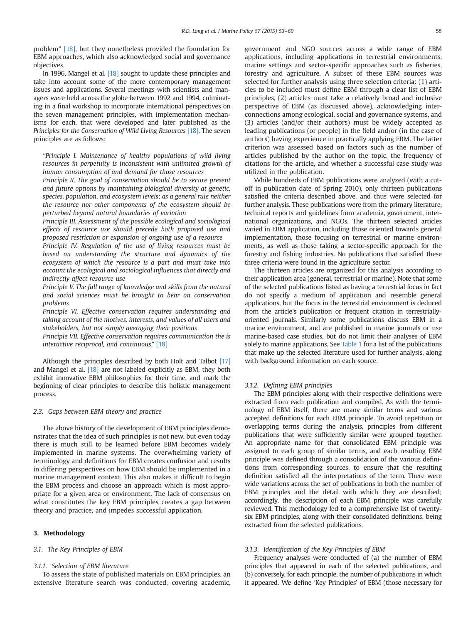problem" [\[18\],](#page-7-0) but they nonetheless provided the foundation for EBM approaches, which also acknowledged social and governance objectives.

In 1996, Mangel et al. <a>[\[18\]](#page-7-0)</a> sought to update these principles and take into account some of the more contemporary management issues and applications. Several meetings with scientists and managers were held across the globe between 1992 and 1994, culminating in a final workshop to incorporate international perspectives on the seven management principles, with implementation mechanisms for each, that were developed and later published as the Principles for the Conservation of Wild Living Resources [\[18\].](#page-7-0) The seven principles are as follows:

"Principle I. Maintenance of healthy populations of wild living resources in perpetuity is inconsistent with unlimited growth of human consumption of and demand for those resources

Principle II. The goal of conservation should be to secure present and future options by maintaining biological diversity at genetic, species, population, and ecosystem levels; as a general rule neither the resource nor other components of the ecosystem should be perturbed beyond natural boundaries of variation

Principle III. Assessment of the possible ecological and sociological effects of resource use should precede both proposed use and proposed restriction or expansion of ongoing use of a resource

Principle IV. Regulation of the use of living resources must be based on understanding the structure and dynamics of the ecosystem of which the resource is a part and must take into account the ecological and sociological influences that directly and indirectly affect resource use

Principle V. The full range of knowledge and skills from the natural and social sciences must be brought to bear on conservation problems

Principle VI. Effective conservation requires understanding and taking account of the motives, interests, and values of all users and stakeholders, but not simply averaging their positions

Principle VII. Effective conservation requires communication the is interactive reciprocal, and continuous" [\[18\]](#page-7-0)

Although the principles described by both Holt and Talbot [\[17\]](#page-7-0) and Mangel et al. [\[18\]](#page-7-0) are not labeled explicitly as EBM, they both exhibit innovative EBM philosophies for their time, and mark the beginning of clear principles to describe this holistic management process.

## 2.3. Gaps between EBM theory and practice

The above history of the development of EBM principles demonstrates that the idea of such principles is not new, but even today there is much still to be learned before EBM becomes widely implemented in marine systems. The overwhelming variety of terminology and definitions for EBM creates confusion and results in differing perspectives on how EBM should be implemented in a marine management context. This also makes it difficult to begin the EBM process and choose an approach which is most appropriate for a given area or environment. The lack of consensus on what constitutes the key EBM principles creates a gap between theory and practice, and impedes successful application.

## 3. Methodology

## 3.1. The Key Principles of EBM

## 3.1.1. Selection of EBM literature

To assess the state of published materials on EBM principles, an extensive literature search was conducted, covering academic, government and NGO sources across a wide range of EBM applications, including applications in terrestrial environments, marine settings and sector-specific approaches such as fisheries, forestry and agriculture. A subset of these EBM sources was selected for further analysis using three selection criteria: (1) articles to be included must define EBM through a clear list of EBM principles, (2) articles must take a relatively broad and inclusive perspective of EBM (as discussed above), acknowledging interconnections among ecological, social and governance systems, and (3) articles (and/or their authors) must be widely accepted as leading publications (or people) in the field and/or (in the case of authors) having experience in practically applying EBM. The latter criterion was assessed based on factors such as the number of articles published by the author on the topic, the frequency of citations for the article, and whether a successful case study was utilized in the publication.

While hundreds of EBM publications were analyzed (with a cutoff in publication date of Spring 2010), only thirteen publications satisfied the criteria described above, and thus were selected for further analysis. These publications were from the primary literature, technical reports and guidelines from academia, government, international organizations, and NGOs. The thirteen selected articles varied in EBM application, including those oriented towards general implementation, those focusing on terrestrial or marine environments, as well as those taking a sector-specific approach for the forestry and fishing industries. No publications that satisfied these three criteria were found in the agriculture sector.

The thirteen articles are organized for this analysis according to their application area (general, terrestrial or marine). Note that some of the selected publications listed as having a terrestrial focus in fact do not specify a medium of application and resemble general applications, but the focus in the terrestrial environment is deduced from the article's publication or frequent citation in terrestriallyoriented journals. Similarly some publications discuss EBM in a marine environment, and are published in marine journals or use marine-based case studies, but do not limit their analyses of EBM solely to marine applications. See [Table 1](#page-3-0) for a list of the publications that make up the selected literature used for further analysis, along with background information on each source.

#### 3.1.2. Defining EBM principles

The EBM principles along with their respective definitions were extracted from each publication and compiled. As with the terminology of EBM itself, there are many similar terms and various accepted definitions for each EBM principle. To avoid repetition or overlapping terms during the analysis, principles from different publications that were sufficiently similar were grouped together. An appropriate name for that consolidated EBM principle was assigned to each group of similar terms, and each resulting EBM principle was defined through a consolidation of the various definitions from corresponding sources, to ensure that the resulting definition satisfied all the interpretations of the term. There were wide variations across the set of publications in both the number of EBM principles and the detail with which they are described; accordingly, the description of each EBM principle was carefully reviewed. This methodology led to a comprehensive list of twentysix EBM principles, along with their consolidated definitions, being extracted from the selected publications.

## 3.1.3. Identification of the Key Principles of EBM

Frequency analyses were conducted of (a) the number of EBM principles that appeared in each of the selected publications, and (b) conversely, for each principle, the number of publications in which it appeared. We define 'Key Principles' of EBM (those necessary for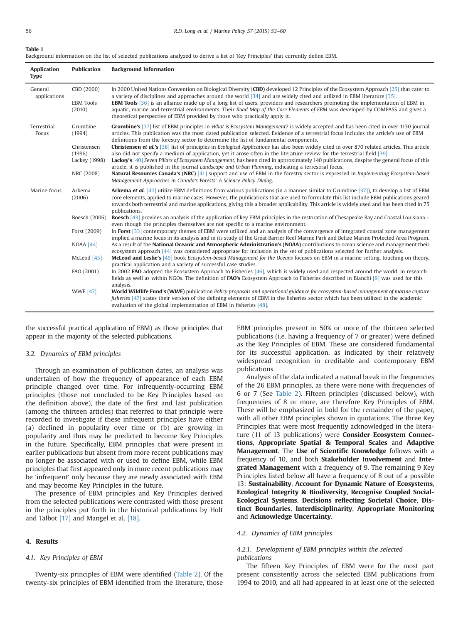#### <span id="page-3-0"></span>Table 1

Background information on the list of selected publications analyzed to derive a list of 'Key Principles' that currently define EBM.

| <b>Application</b><br><b>Type</b> | <b>Publication</b>                                                                                                               | <b>Background Information</b>                                                                                                                                                                                                                                                                                                                                                                                                                                                                                                                                                                                                                                                                                                                                                                                                                                                                                                                                                                                                                                                                                                                                                                                                                                                                                                                                                                                                                                                                                                                                                                                                                                                                                                                                                                                                                                                                                                                                                                                                                                                            |
|-----------------------------------|----------------------------------------------------------------------------------------------------------------------------------|------------------------------------------------------------------------------------------------------------------------------------------------------------------------------------------------------------------------------------------------------------------------------------------------------------------------------------------------------------------------------------------------------------------------------------------------------------------------------------------------------------------------------------------------------------------------------------------------------------------------------------------------------------------------------------------------------------------------------------------------------------------------------------------------------------------------------------------------------------------------------------------------------------------------------------------------------------------------------------------------------------------------------------------------------------------------------------------------------------------------------------------------------------------------------------------------------------------------------------------------------------------------------------------------------------------------------------------------------------------------------------------------------------------------------------------------------------------------------------------------------------------------------------------------------------------------------------------------------------------------------------------------------------------------------------------------------------------------------------------------------------------------------------------------------------------------------------------------------------------------------------------------------------------------------------------------------------------------------------------------------------------------------------------------------------------------------------------|
| General<br>applications           | CBD (2000)<br><b>EBM Tools</b><br>(2010)                                                                                         | In 2000 United Nations Convention on Biological Diversity (CBD) developed 12 Principles of the Ecosystem Approach $[25]$ that cater to<br>a variety of disciplines and approaches around the world $[34]$ and are widely cited and utilized in EBM literature $[35]$ .<br><b>EBM Tools</b> $[36]$ is an alliance made up of a long list of users, providers and researchers promoting the implementation of EBM in<br>aquatic, marine and terrestrial environments. Their Road Map of the Core Elements of EBM was developed by COMPASS and gives a<br>theoretical perspective of EBM provided by those who practically apply it.                                                                                                                                                                                                                                                                                                                                                                                                                                                                                                                                                                                                                                                                                                                                                                                                                                                                                                                                                                                                                                                                                                                                                                                                                                                                                                                                                                                                                                                        |
| Terrestrial<br>Focus              | Grumbine<br>(1994)<br>Christensen<br>(1996)<br>Lackey (1998)<br>NRC (2008)                                                       | Grumbine's [37] list of EBM principles in What is Ecosystem Management? is widely accepted and has been cited in over 1130 journal<br>articles. This publication was the most dated publication selected. Evidence of a terrestrial focus includes the article's use of EBM<br>definitions from the forestry sector to determine the list of fundamental components.<br>Christensen et al.'s [38] list of principles in Ecological Applications has also been widely cited in over 870 related articles. This article<br>also did not specify a medium of application, yet it arose often in the literature review for the terrestrial field [39].<br><b>Lackey's</b> [40] Seven Pillars of Ecosystem Management, has been cited in approximately 140 publications, despite the general focus of this<br>article, it is published in the journal <i>Landscape and Urban Planning</i> , indicating a terrestrial focus.<br>Natural Resources Canada's (NRC) [41] support and use of EBM in the forestry sector is expressed in Implementing Ecosystem-based<br>Management Approaches in Canada's Forests: A Science Policy Dialog.                                                                                                                                                                                                                                                                                                                                                                                                                                                                                                                                                                                                                                                                                                                                                                                                                                                                                                                                                        |
| Marine focus                      | Arkema<br>(2006)<br>Boesch (2006)<br>Forst (2009)<br><b>NOAA [44]</b><br>McLeod <sup>[45]</sup><br>FAO (2001)<br><b>WWF</b> [47] | Arkema et al. [42] utilize EBM definitions from various publications (in a manner similar to Grumbine [37]), to develop a list of EBM<br>core elements, applied to marine cases. However, the publications that are used to formulate this list include EBM publications geared<br>towards both terrestrial and marine applications, giving this a broader applicability. This article is widely used and has been cited in 75<br>publications.<br><b>Boesch</b> [43] provides an analysis of the application of key EBM principles in the restoration of Chesapeake Bay and Coastal Louisiana –<br>even though the principles themselves are not specific to a marine environment.<br>In Forst [33] contemporary themes of EBM were utilized and an analysis of the convergence of integrated coastal zone management<br>implied a marine focus in its analysis and in its study of the Great Barrier Reef Marine Park and Belize Marine Protected Area Program.<br>As a result of the National Oceanic and Atmospheric Administration's (NOAA) contributions to ocean science and management their<br>ecosystem approach [44] was considered appropriate for inclusion in the set of publications selected for further analysis.<br>McLeod and Leslie's [45] book Ecosystem-based Management for the Oceans focuses on EBM in a marine setting, touching on theory,<br>practical application and a variety of successful case studies.<br>In 2002 FAO adopted the Ecosystem Approach to Fisheries $[46]$ , which is widely used and respected around the world, in research<br>fields as well as within NGOs. The definition of <b>FAO's</b> Ecosystem Approach to Fisheries described in Bianchi [9] was used for this<br>analysis.<br>World Wildlife Fund's (WWF) publication Policy proposals and operational guidance for ecosystem-based management of marine capture<br>fisheries [47] states their version of the defining elements of EBM in the fisheries sector which has been utilized in the academic<br>evaluation of the global implementation of EBM in fisheries [48]. |

the successful practical application of EBM) as those principles that appear in the majority of the selected publications.

## 3.2. Dynamics of EBM principles

Through an examination of publication dates, an analysis was undertaken of how the frequency of appearance of each EBM principle changed over time. For infrequently-occurring EBM principles (those not concluded to be Key Principles based on the definition above), the date of the first and last publication (among the thirteen articles) that referred to that principle were recorded to investigate if these infrequent principles have either (a) declined in popularity over time or (b) are growing in popularity and thus may be predicted to become Key Principles in the future. Specifically, EBM principles that were present in earlier publications but absent from more recent publications may no longer be associated with or used to define EBM, while EBM principles that first appeared only in more recent publications may be 'infrequent' only because they are newly associated with EBM and may become Key Principles in the future.

The presence of EBM principles and Key Principles derived from the selected publications were contrasted with those present in the principles put forth in the historical publications by Holt and Talbot [\[17\]](#page-7-0) and Mangel et al. [\[18\].](#page-7-0)

#### 4. Results

#### 4.1. Key Principles of EBM

Twenty-six principles of EBM were identified ([Table 2](#page-4-0)). Of the twenty-six principles of EBM identified from the literature, those EBM principles present in 50% or more of the thirteen selected publications (i.e. having a frequency of 7 or greater) were defined as the Key Principles of EBM. These are considered fundamental for its successful application, as indicated by their relatively widespread recognition in creditable and contemporary EBM publications.

Analysis of the data indicated a natural break in the frequencies of the 26 EBM principles, as there were none with frequencies of 6 or 7 (See [Table 2\)](#page-4-0). Fifteen principles (discussed below), with frequencies of 8 or more, are therefore Key Principles of EBM. These will be emphasized in bold for the remainder of the paper, with all other EBM principles shown in quotations. The three Key Principles that were most frequently acknowledged in the literature (11 of 13 publications) were Consider Ecosystem Connections, Appropriate Spatial & Temporal Scales and Adaptive Management. The Use of Scientific Knowledge follows with a frequency of 10, and both Stakeholder Involvement and Integrated Management with a frequency of 9. The remaining 9 Key Principles listed below all have a frequency of 8 out of a possible 13: Sustainability, Account for Dynamic Nature of Ecosystems, Ecological Integrity & Biodiversity, Recognise Coupled Social-Ecological Systems, Decisions reflecting Societal Choice, Distinct Boundaries, Interdisciplinarity, Appropriate Monitoring and Acknowledge Uncertainty.

## 4.2. Dynamics of EBM principles

## 4.2.1. Development of EBM principles within the selected publications

The fifteen Key Principles of EBM were for the most part present consistently across the selected EBM publications from 1994 to 2010, and all had appeared in at least one of the selected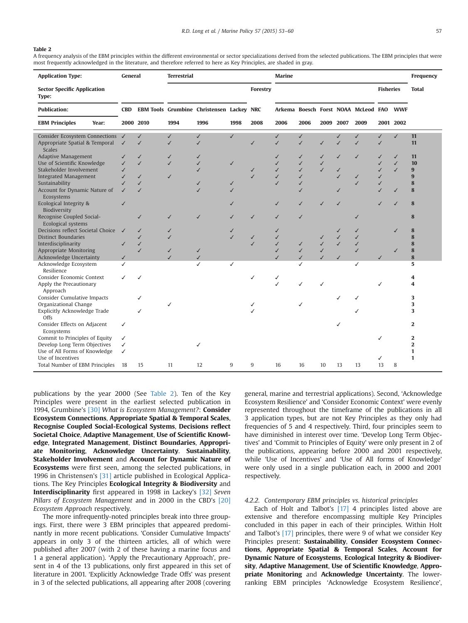#### <span id="page-4-0"></span>Table 2

A frequency analysis of the EBM principles within the different environmental or sector specializations derived from the selected publications. The EBM principles that were most frequently acknowledged in the literature, and therefore referred to here as Key Principles, are shaded in gray.

| <b>Application Type:</b>                                                                            | <b>General</b>                               |                              | <b>Terrestrial</b>                       |                                           |              |                 | <b>Marine</b>                                |                                   |                                              |              |                                     |                  |                                   | Frequency                                                          |
|-----------------------------------------------------------------------------------------------------|----------------------------------------------|------------------------------|------------------------------------------|-------------------------------------------|--------------|-----------------|----------------------------------------------|-----------------------------------|----------------------------------------------|--------------|-------------------------------------|------------------|-----------------------------------|--------------------------------------------------------------------|
| <b>Sector Specific Application</b><br>Type:                                                         |                                              |                              |                                          |                                           |              | <b>Forestry</b> |                                              |                                   |                                              |              |                                     | <b>Fisheries</b> |                                   | <b>Total</b>                                                       |
| <b>Publication:</b>                                                                                 | <b>CBD</b>                                   |                              |                                          | EBM Tools Grumbine Christensen Lackey NRC |              |                 |                                              |                                   |                                              |              | Arkema Boesch Forst NOAA McLeod FAO |                  | <b>WWF</b>                        |                                                                    |
| <b>EBM Principles</b><br>Year:                                                                      | 2000 2010                                    |                              | 1994                                     | 1996                                      | 1998         | 2008            | 2006                                         | 2006                              | 2009                                         | 2007         | 2009                                |                  | 2001 2002                         |                                                                    |
| <b>Consider Ecosystem Connections</b><br>Appropriate Spatial & Temporal<br><b>Scales</b>            | $\checkmark$<br>$\checkmark$                 | $\checkmark$<br>$\checkmark$ | $\checkmark$<br>$\overline{\mathcal{L}}$ | $\checkmark$<br>✓                         | $\checkmark$ | $\checkmark$    | $\checkmark$                                 | $\checkmark$                      |                                              | $\checkmark$ | $\checkmark$<br>$\overline{1}$      | $\checkmark$     | $\checkmark$                      | 11<br>11                                                           |
| Adaptive Management<br>Use of Scientific Knowledge<br>Stakeholder Involvement                       |                                              | $\checkmark$<br>$\checkmark$ | $\checkmark$                             | ✓<br>$\checkmark$                         | $\checkmark$ | ✓               | ✓<br>✓                                       | $\checkmark$                      | √<br>$\checkmark$<br>$\checkmark$            | ✓            | ✓                                   |                  | ✓<br>$\checkmark$<br>$\checkmark$ | 11<br>10<br>9                                                      |
| Integrated Management<br>Sustainability                                                             |                                              | $\checkmark$<br>$\checkmark$ | ✓                                        | ✓                                         | ✓            |                 | $\checkmark$<br>$\checkmark$                 |                                   |                                              |              | ✓<br>✓                              |                  |                                   | 9<br>8                                                             |
| Account for Dynamic Nature of<br>Ecosystems<br>Ecological Integrity &                               | $\checkmark$                                 |                              |                                          |                                           |              |                 | ✓                                            |                                   | √                                            |              |                                     |                  |                                   | 8<br>8                                                             |
| Biodiversity<br>Recognise Coupled Social-<br>Ecological systems                                     |                                              | √                            |                                          | $\checkmark$                              | ✓            | ✓               | $\checkmark$                                 | ✓                                 |                                              |              | ✓                                   |                  |                                   | 8                                                                  |
| Decisions reflect Societal Choice<br><b>Distinct Boundaries</b>                                     | $\checkmark$                                 | √<br>√                       |                                          |                                           | ✓            | ✓               | ✓<br>$\checkmark$                            |                                   | $\checkmark$                                 |              | $\checkmark$                        |                  |                                   | 8<br>8                                                             |
| Interdisciplinarity<br>Appropriate Monitoring<br>Acknowledge Uncertainty                            | ✓<br>$\checkmark$                            | $\checkmark$<br>$\checkmark$ | ✓<br>$\checkmark$                        | ✓<br>$\checkmark$                         |              |                 | $\checkmark$<br>$\checkmark$<br>$\checkmark$ | ✓<br>$\checkmark$<br>$\checkmark$ | $\checkmark$<br>$\checkmark$<br>$\checkmark$ | $\checkmark$ | ✓<br>$\overline{1}$                 | ✓                |                                   | 8<br>8<br>8                                                        |
| Acknowledge Ecosystem<br>Resilience<br>Consider Economic Context                                    | ✓<br>ℐ                                       | J                            |                                          | ✓                                         | ✓            | ✓               |                                              |                                   |                                              |              | ✓                                   |                  |                                   | 5<br>4                                                             |
| Apply the Precautionary<br>Approach                                                                 |                                              |                              |                                          |                                           |              |                 | ✓                                            |                                   |                                              |              |                                     | ✓                |                                   | 4                                                                  |
| Consider Cumulative Impacts<br>Organizational Change<br><b>Explicitly Acknowledge Trade</b><br>Offs |                                              | ✓<br>✓                       | ✓                                        |                                           |              |                 |                                              |                                   |                                              |              |                                     |                  |                                   | 3<br>3<br>3                                                        |
| Consider Effects on Adjacent<br>Ecosystems                                                          | $\checkmark$                                 |                              |                                          |                                           |              |                 |                                              |                                   |                                              |              |                                     |                  |                                   | $\overline{2}$                                                     |
| Commit to Principles of Equity<br>Develop Long Term Objectives<br>Use of All Forms of Knowledge     | $\checkmark$<br>$\checkmark$<br>$\checkmark$ |                              |                                          | √                                         |              |                 |                                              |                                   |                                              |              |                                     | ✓                |                                   | $\overline{\mathbf{2}}$<br>$\overline{\mathbf{2}}$<br>$\mathbf{1}$ |
| Use of Incentives<br>Total Number of EBM Principles                                                 | 18                                           | 15                           | 11                                       | 12                                        | 9            | 9               | 16                                           | 16                                | 10                                           | 13           | 13                                  | ✓<br>13          | 8                                 | $\mathbf{1}$                                                       |

publications by the year 2000 (See Table 2). Ten of the Key Principles were present in the earliest selected publication in 1994, Grumbine's [\[30\]](#page-7-0) What is Ecosystem Management?: Consider Ecosystem Connections, Appropriate Spatial & Temporal Scales, Recognise Coupled Social-Ecological Systems, Decisions reflect Societal Choice, Adaptive Management, Use of Scientific Knowledge, Integrated Management, Distinct Boundaries, Appropriate Monitoring, Acknowledge Uncertainty. Sustainability, Stakeholder Involvement and Account for Dynamic Nature of Ecosystems were first seen, among the selected publications, in 1996 in Christensen's [\[31\]](#page-7-0) article published in Ecological Applications. The Key Principles Ecological Integrity & Biodiversity and Interdisciplinarity first appeared in 1998 in Lackey's [\[32\]](#page-7-0) Seven Pillars of Ecosystem Management and in 2000 in the CBD's [\[20\]](#page-7-0) Ecosystem Approach respectively.

The more infrequently-noted principles break into three groupings. First, there were 3 EBM principles that appeared predominantly in more recent publications. 'Consider Cumulative Impacts' appears in only 3 of the thirteen articles, all of which were published after 2007 (with 2 of these having a marine focus and 1 a general application). 'Apply the Precautionary Approach', present in 4 of the 13 publications, only first appeared in this set of literature in 2001. 'Explicitly Acknowledge Trade Offs' was present in 3 of the selected publications, all appearing after 2008 (covering general, marine and terrestrial applications). Second, 'Acknowledge Ecosystem Resilience' and 'Consider Economic Context' were evenly represented throughout the timeframe of the publications in all 3 application types, but are not Key Principles as they only had frequencies of 5 and 4 respectively. Third, four principles seem to have diminished in interest over time. 'Develop Long Term Objectives' and 'Commit to Principles of Equity' were only present in 2 of the publications, appearing before 2000 and 2001 respectively, while 'Use of Incentives' and 'Use of All forms of Knowledge' were only used in a single publication each, in 2000 and 2001 respectively.

#### 4.2.2. Contemporary EBM principles vs. historical principles

Each of Holt and Talbot's [\[17\]](#page-7-0) 4 principles listed above are extensive and therefore encompassing multiple Key Principles concluded in this paper in each of their principles. Within Holt and Talbot's [\[17\]](#page-7-0) principles, there were 9 of what we consider Key Principles present: Sustainability, Consider Ecosystem Connections, Appropriate Spatial & Temporal Scales, Account for Dynamic Nature of Ecosystems, Ecological Integrity & Biodiversity, Adaptive Management, Use of Scientific Knowledge, Appropriate Monitoring and Acknowledge Uncertainty. The lowerranking EBM principles 'Acknowledge Ecosystem Resilience',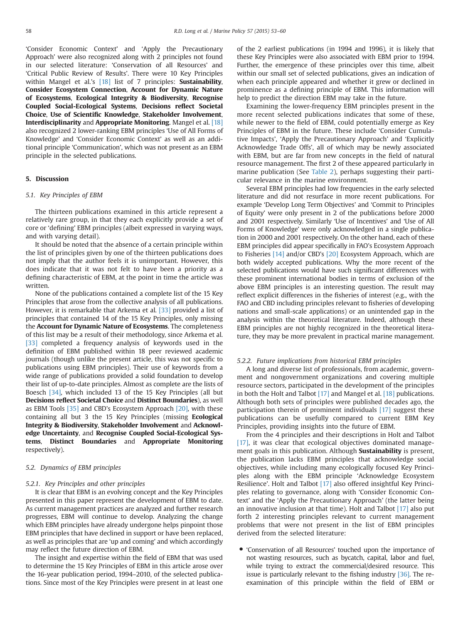'Consider Economic Context' and 'Apply the Precautionary Approach' were also recognized along with 2 principles not found in our selected literature: 'Conservation of all Resources' and 'Critical Public Review of Results'. There were 10 Key Principles within Mangel et al.'s [\[18\]](#page-7-0) list of 7 principles: **Sustainability**, Consider Ecosystem Connection, Account for Dynamic Nature of Ecosystems, Ecological Integrity & Biodiversity, Recognise Coupled Social-Ecological Systems, Decisions reflect Societal Choice, Use of Scientific Knowledge, Stakeholder Involvement, Interdisciplinarity and Appropriate Monitoring. Mangel et al. [\[18\]](#page-7-0) also recognized 2 lower-ranking EBM principles 'Use of All Forms of Knowledge' and 'Consider Economic Context' as well as an additional principle 'Communication', which was not present as an EBM principle in the selected publications.

## 5. Discussion

## 5.1. Key Principles of EBM

The thirteen publications examined in this article represent a relatively rare group, in that they each explicitly provide a set of core or 'defining' EBM principles (albeit expressed in varying ways, and with varying detail).

It should be noted that the absence of a certain principle within the list of principles given by one of the thirteen publications does not imply that the author feels it is unimportant. However, this does indicate that it was not felt to have been a priority as a defining characteristic of EBM, at the point in time the article was written.

None of the publications contained a complete list of the 15 Key Principles that arose from the collective analysis of all publications. However, it is remarkable that Arkema et al. [\[33\]](#page-7-0) provided a list of principles that contained 14 of the 15 Key Principles, only missing the Account for Dynamic Nature of Ecosystems. The completeness of this list may be a result of their methodology, since Arkema et al. [\[33\]](#page-7-0) completed a frequency analysis of keywords used in the definition of EBM published within 18 peer reviewed academic journals (though unlike the present article, this was not specific to publications using EBM principles). Their use of keywords from a wide range of publications provided a solid foundation to develop their list of up-to-date principles. Almost as complete are the lists of Boesch [\[34\]](#page-7-0), which included 13 of the 15 Key Principles (all but Decisions reflect Societal Choice and Distinct Boundaries), as well as EBM Tools [\[35\]](#page-7-0) and CBD's Ecosystem Approach [\[20\]](#page-7-0), with these containing all but 3 the 15 Key Principles (missing Ecological Integrity & Biodiversity, Stakeholder Involvement and Acknowledge Uncertainty, and Recognise Coupled Social-Ecological Systems, Distinct Boundaries and Appropriate Monitoring respectively).

## 5.2. Dynamics of EBM principles

## 5.2.1. Key Principles and other principles

It is clear that EBM is an evolving concept and the Key Principles presented in this paper represent the development of EBM to date. As current management practices are analyzed and further research progresses, EBM will continue to develop. Analyzing the change which EBM principles have already undergone helps pinpoint those EBM principles that have declined in support or have been replaced, as well as principles that are 'up and coming' and which accordingly may reflect the future direction of EBM.

The insight and expertise within the field of EBM that was used to determine the 15 Key Principles of EBM in this article arose over the 16-year publication period, 1994–2010, of the selected publications. Since most of the Key Principles were present in at least one of the 2 earliest publications (in 1994 and 1996), it is likely that these Key Principles were also associated with EBM prior to 1994. Further, the emergence of these principles over this time, albeit within our small set of selected publications, gives an indication of when each principle appeared and whether it grew or declined in prominence as a defining principle of EBM. This information will help to predict the direction EBM may take in the future.

Examining the lower-frequency EBM principles present in the more recent selected publications indicates that some of these, while newer to the field of EBM, could potentially emerge as Key Principles of EBM in the future. These include 'Consider Cumulative Impacts', 'Apply the Precautionary Approach' and 'Explicitly Acknowledge Trade Offs', all of which may be newly associated with EBM, but are far from new concepts in the field of natural resource management. The first 2 of these appeared particularly in marine publication (See [Table 2\)](#page-4-0), perhaps suggesting their particular relevance in the marine environment.

Several EBM principles had low frequencies in the early selected literature and did not resurface in more recent publications. For example 'Develop Long Term Objectives' and 'Commit to Principles of Equity' were only present in 2 of the publications before 2000 and 2001 respectively. Similarly 'Use of Incentives' and 'Use of All Forms of Knowledge' were only acknowledged in a single publication in 2000 and 2001 respectively. On the other hand, each of these EBM principles did appear specifically in FAO's Ecosystem Approach to Fisheries [\[14\]](#page-7-0) and/or CBD's [\[20\]](#page-7-0) Ecosystem Approach, which are both widely accepted publications. Why the more recent of the selected publications would have such significant differences with these prominent international bodies in terms of exclusion of the above EBM principles is an interesting question. The result may reflect explicit differences in the fisheries of interest (e.g., with the FAO and CBD including principles relevant to fisheries of developing nations and small-scale applications) or an unintended gap in the analysis within the theoretical literature. Indeed, although these EBM principles are not highly recognized in the theoretical literature, they may be more prevalent in practical marine management.

## 5.2.2. Future implications from historical EBM principles

A long and diverse list of professionals, from academic, government and nongovernment organizations and covering multiple resource sectors, participated in the development of the principles in both the Holt and Talbot [\[17\]](#page-7-0) and Mangel et al. [\[18\]](#page-7-0) publications. Although both sets of principles were published decades ago, the participation therein of prominent individuals [\[17\]](#page-7-0) suggest these publications can be usefully compared to current EBM Key Principles, providing insights into the future of EBM.

From the 4 principles and their descriptions in Holt and Talbot [\[17\]](#page-7-0), it was clear that ecological objectives dominated management goals in this publication. Although Sustainability is present, the publication lacks EBM principles that acknowledge social objectives, while including many ecologically focused Key Principles along with the EBM principle 'Acknowledge Ecosystem Resilience'. Holt and Talbot [\[17\]](#page-7-0) also offered insightful Key Principles relating to governance, along with 'Consider Economic Context' and the 'Apply the Precautionary Approach' (the latter being an innovative inclusion at that time). Holt and Talbot [\[17\]](#page-7-0) also put forth 2 interesting principles relevant to current management problems that were not present in the list of EBM principles derived from the selected literature:

- 'Conservation of all Resources' touched upon the importance of not wasting resources, such as bycatch, capital, labor and fuel, while trying to extract the commercial/desired resource. This issue is particularly relevant to the fishing industry [\[36\]](#page-7-0). The reexamination of this principle within the field of EBM or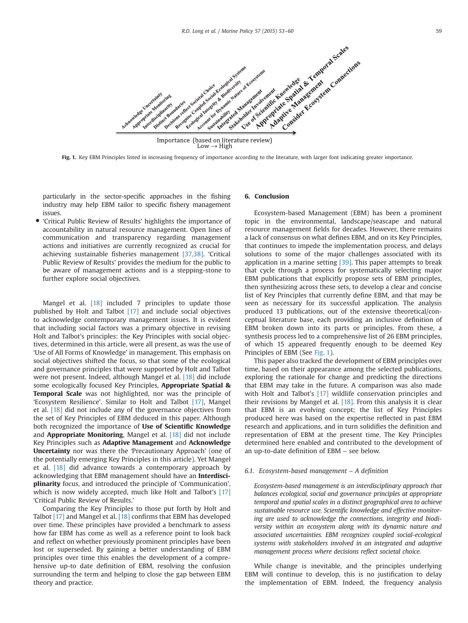

Fig. 1. Key EBM Principles listed in increasing frequency of importance according to the literature, with larger font indicating greater importance.

particularly in the sector-specific approaches in the fishing industry may help EBM tailor to specific fishery management issues.

• 'Critical Public Review of Results' highlights the importance of accountability in natural resource management. Open lines of communication and transparency regarding management actions and initiatives are currently recognized as crucial for achieving sustainable fisheries management [\[37,38\].](#page-7-0) 'Critical Public Review of Results' provides the medium for the public to be aware of management actions and is a stepping-stone to further explore social objectives.

Mangel et al. <a>[\[18\]](#page-7-0)</a> included 7 principles to update those published by Holt and Talbot [\[17\]](#page-7-0) and include social objectives to acknowledge contemporary management issues. It is evident that including social factors was a primary objective in revising Holt and Talbot's principles: the Key Principles with social objectives, determined in this article, were all present, as was the use of 'Use of All Forms of Knowledge' in management. This emphasis on social objectives shifted the focus, so that some of the ecological and governance principles that were supported by Holt and Talbot were not present. Indeed, although Mangel et al. [\[18\]](#page-7-0) did include some ecologically focused Key Principles, **Appropriate Spatial & Temporal Scale** was not highlighted, nor was the principle of 'Ecosystem Resilience'. Similar to Holt and Talbot [\[17\]](#page-7-0), Mangel et al. [\[18\]](#page-7-0) did not include any of the governance objectives from the set of Key Principles of EBM deduced in this paper. Although both recognized the importance of Use of Scientific Knowledge and Appropriate Monitoring, Mangel et al. [\[18\]](#page-7-0) did not include Key Principles such as Adaptive Management and Acknowledge Uncertainty nor was there the 'Precautionary Approach' (one of the potentially emerging Key Principles in this article). Yet Mangel et al. [\[18\]](#page-7-0) did advance towards a contemporary approach by acknowledging that EBM management should have an Interdisciplinarity focus, and introduced the principle of 'Communication', which is now widely accepted, much like Holt and Talbot's [\[17\]](#page-7-0) 'Critical Public Review of Results.'

Comparing the Key Principles to those put forth by Holt and Talbot [\[17\]](#page-7-0) and Mangel et al. [\[18\]](#page-7-0) confirms that EBM has developed over time. These principles have provided a benchmark to assess how far EBM has come as well as a reference point to look back and reflect on whether previously prominent principles have been lost or superseded. By gaining a better understanding of EBM principles over time this enables the development of a comprehensive up-to date definition of EBM, resolving the confusion surrounding the term and helping to close the gap between EBM theory and practice.

#### 6. Conclusion

Ecosystem-based Management (EBM) has been a prominent topic in the environmental, landscape/seascape and natural resource management fields for decades. However, there remains a lack of consensus on what defines EBM, and on its Key Principles, that continues to impede the implementation process, and delays solutions to some of the major challenges associated with its application in a marine setting [\[39\]](#page-7-0). This paper attempts to break that cycle through a process for systematically selecting major EBM publications that explicitly propose sets of EBM principles, then synthesizing across these sets, to develop a clear and concise list of Key Principles that currently define EBM, and that may be seen as necessary for its successful application. The analysis produced 13 publications, out of the extensive theoretical/conceptual literature base, each providing an inclusive definition of EBM broken down into its parts or principles. From these, a synthesis process led to a comprehensive list of 26 EBM principles, of which 15 appeared frequently enough to be deemed Key Principles of EBM (See Fig. 1).

This paper also tracked the development of EBM principles over time, based on their appearance among the selected publications, exploring the rationale for change and predicting the directions that EBM may take in the future. A comparison was also made with Holt and Talbot's [\[17\]](#page-7-0) wildlife conservation principles and their revisions by Mangel et al. [\[18\]](#page-7-0). From this analysis it is clear that EBM is an evolving concept; the list of Key Principles produced here was based on the expertise reflected in past EBM research and applications, and in turn solidifies the definition and representation of EBM at the present time. The Key Principles determined here enabled and contributed to the development of an up-to-date definition of EBM – see below.

#### 6.1. Ecosystem-based management – A definition

Ecosystem-based management is an interdisciplinary approach that balances ecological, social and governance principles at appropriate temporal and spatial scales in a distinct geographical area to achieve sustainable resource use. Scientific knowledge and effective monitoring are used to acknowledge the connections, integrity and biodiversity within an ecosystem along with its dynamic nature and associated uncertainties. EBM recognizes coupled social-ecological systems with stakeholders involved in an integrated and adaptive management process where decisions reflect societal choice.

While change is inevitable, and the principles underlying EBM will continue to develop, this is no justification to delay the implementation of EBM. Indeed, the frequency analysis